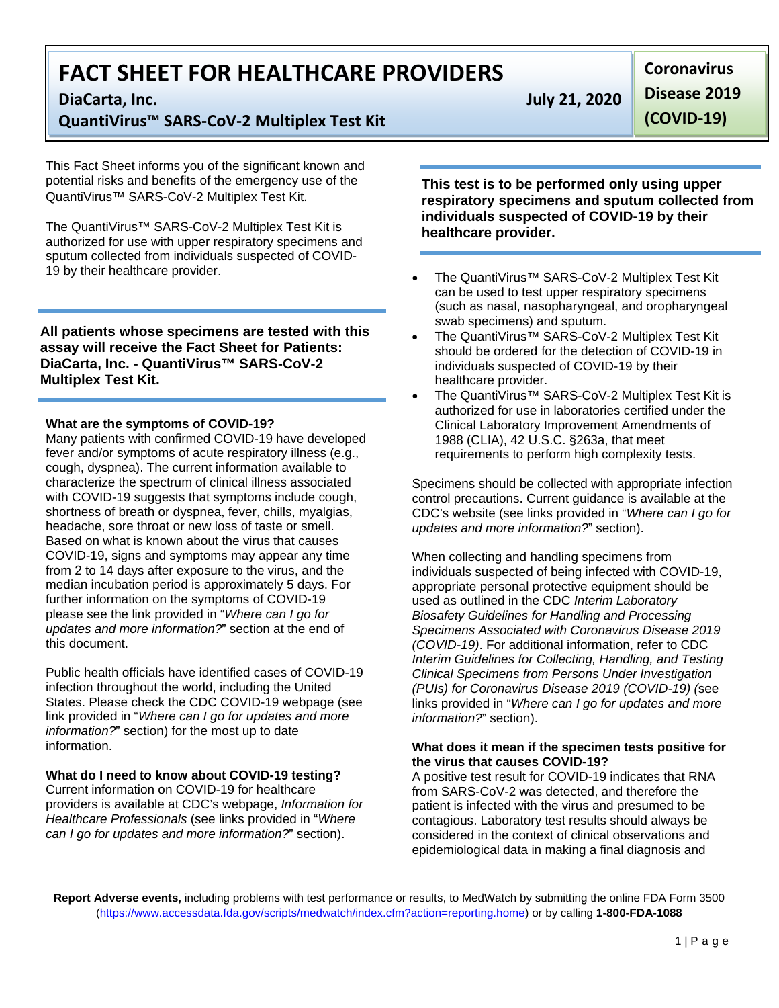# **FACT SHEET FOR HEALTHCARE PROVIDERS**

**QuantiVirus™ SARS-CoV-2 Multiplex Test Kit**

This Fact Sheet informs you of the significant known and potential risks and benefits of the emergency use of the QuantiVirus™ SARS-CoV-2 Multiplex Test Kit.

The QuantiVirus™ SARS-CoV-2 Multiplex Test Kit is authorized for use with upper respiratory specimens and sputum collected from individuals suspected of COVID-19 by their healthcare provider.

**All patients whose specimens are tested with this assay will receive the Fact Sheet for Patients: DiaCarta, Inc. - QuantiVirus™ SARS-CoV-2 Multiplex Test Kit.** 

### **What are the symptoms of COVID-19?**

Many patients with confirmed COVID-19 have developed fever and/or symptoms of acute respiratory illness (e.g., cough, dyspnea). The current information available to characterize the spectrum of clinical illness associated with COVID-19 suggests that symptoms include cough, shortness of breath or dyspnea, fever, chills, myalgias, headache, sore throat or new loss of taste or smell. Based on what is known about the virus that causes COVID-19, signs and symptoms may appear any time from 2 to 14 days after exposure to the virus, and the median incubation period is approximately 5 days. For further information on the symptoms of COVID-19 please see the link provided in "*Where can I go for updates and more information?*" section at the end of this document.

Public health officials have identified cases of COVID-19 infection throughout the world, including the United States. Please check the CDC COVID-19 webpage (see link provided in "*Where can I go for updates and more information?*" section) for the most up to date information.

# **What do I need to know about COVID-19 testing?**

Current information on COVID-19 for healthcare providers is available at CDC's webpage, *Information for Healthcare Professionals* (see links provided in "*Where can I go for updates and more information?*" section).

**DiaCarta, Inc. July 21, 2020** 

**Disease 2019 (COVID-19)** 

**Coronavirus** 

**This test is to be performed only using upper respiratory specimens and sputum collected from individuals suspected of COVID-19 by their healthcare provider.** 

- The QuantiVirus™ SARS-CoV-2 Multiplex Test Kit can be used to test upper respiratory specimens (such as nasal, nasopharyngeal, and oropharyngeal swab specimens) and sputum.
- The QuantiVirus™ SARS-CoV-2 Multiplex Test Kit should be ordered for the detection of COVID-19 in individuals suspected of COVID-19 by their healthcare provider.
- The QuantiVirus™ SARS-CoV-2 Multiplex Test Kit is authorized for use in laboratories certified under the Clinical Laboratory Improvement Amendments of 1988 (CLIA), 42 U.S.C. §263a, that meet requirements to perform high complexity tests.

Specimens should be collected with appropriate infection control precautions. Current guidance is available at the CDC's website (see links provided in "*Where can I go for updates and more information?*" section).

When collecting and handling specimens from individuals suspected of being infected with COVID-19, appropriate personal protective equipment should be used as outlined in the CDC *Interim Laboratory Biosafety Guidelines for Handling and Processing Specimens Associated with Coronavirus Disease 2019 (COVID-19)*. For additional information, refer to CDC *Interim Guidelines for Collecting, Handling, and Testing Clinical Specimens from Persons Under Investigation (PUIs) for Coronavirus Disease 2019 (COVID-19) (*see links provided in "*Where can I go for updates and more information?*" section).

### **What does it mean if the specimen tests positive for the virus that causes COVID-19?**

A positive test result for COVID-19 indicates that RNA from SARS-CoV-2 was detected, and therefore the patient is infected with the virus and presumed to be contagious. Laboratory test results should always be considered in the context of clinical observations and epidemiological data in making a final diagnosis and

**Report Adverse events,** including problems with test performance or results, to MedWatch by submitting the online FDA Form 3500 [\(https://www.accessdata.fda.gov/scripts/medwatch/index.cfm?action=reporting.home\)](https://www.accessdata.fda.gov/scripts/medwatch/index.cfm?action=reporting.home) or by calling **1-800-FDA-1088**

1 | Page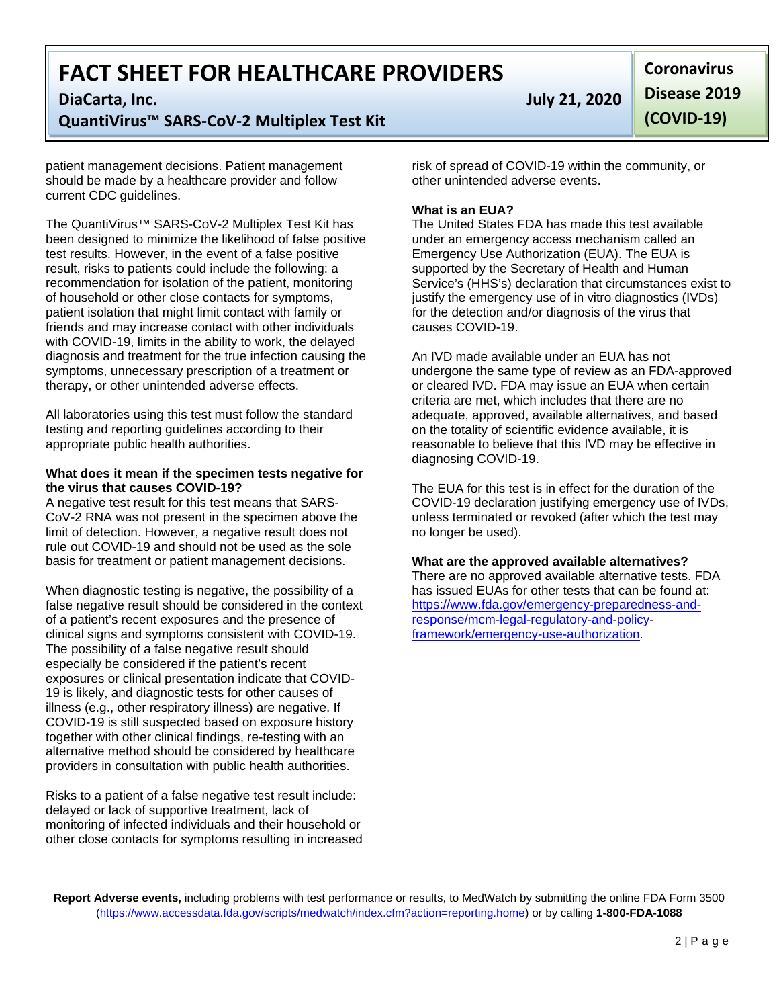# **FACT SHEET FOR HEALTHCARE PROVIDERS**

# **QuantiVirus™ SARS-CoV-2 Multiplex Test Kit**

patient management decisions. Patient management should be made by a healthcare provider and follow current CDC guidelines.

The QuantiVirus™ SARS-CoV-2 Multiplex Test Kit has been designed to minimize the likelihood of false positive test results. However, in the event of a false positive result, risks to patients could include the following: a recommendation for isolation of the patient, monitoring of household or other close contacts for symptoms, patient isolation that might limit contact with family or friends and may increase contact with other individuals with COVID-19, limits in the ability to work, the delayed diagnosis and treatment for the true infection causing the symptoms, unnecessary prescription of a treatment or therapy, or other unintended adverse effects.

All laboratories using this test must follow the standard testing and reporting guidelines according to their appropriate public health authorities.

#### **What does it mean if the specimen tests negative for the virus that causes COVID-19?**

A negative test result for this test means that SARS-CoV-2 RNA was not present in the specimen above the limit of detection. However, a negative result does not rule out COVID-19 and should not be used as the sole basis for treatment or patient management decisions.

When diagnostic testing is negative, the possibility of a false negative result should be considered in the context of a patient's recent exposures and the presence of clinical signs and symptoms consistent with COVID-19. The possibility of a false negative result should especially be considered if the patient's recent exposures or clinical presentation indicate that COVID-19 is likely, and diagnostic tests for other causes of illness (e.g., other respiratory illness) are negative. If COVID-19 is still suspected based on exposure history together with other clinical findings, re-testing with an alternative method should be considered by healthcare providers in consultation with public health authorities.

Risks to a patient of a false negative test result include: delayed or lack of supportive treatment, lack of monitoring of infected individuals and their household or other close contacts for symptoms resulting in increased

**DiaCarta, Inc. July 21, 2020** 

**Coronavirus Disease 2019 (COVID-19)** 

risk of spread of COVID-19 within the community, or other unintended adverse events.

# **What is an EUA?**

The United States FDA has made this test available under an emergency access mechanism called an Emergency Use Authorization (EUA). The EUA is supported by the Secretary of Health and Human Service's (HHS's) declaration that circumstances exist to justify the emergency use of in vitro diagnostics (IVDs) for the detection and/or diagnosis of the virus that causes COVID-19.

An IVD made available under an EUA has not undergone the same type of review as an FDA-approved or cleared IVD. FDA may issue an EUA when certain criteria are met, which includes that there are no adequate, approved, available alternatives, and based on the totality of scientific evidence available, it is reasonable to believe that this IVD may be effective in diagnosing COVID-19.

The EUA for this test is in effect for the duration of the COVID-19 declaration justifying emergency use of IVDs, unless terminated or revoked (after which the test may no longer be used).

#### **What are the approved available alternatives?**

There are no approved available alternative tests. FDA has issued EUAs for other tests that can be found at: [https://www.fda.gov/emergency-preparedness-and](https://www.fda.gov/emergency-preparedness-and-response/mcm-legal-regulatory-and-policy-framework/emergency-use-authorization)[response/mcm-legal-regulatory-and-policy](https://www.fda.gov/emergency-preparedness-and-response/mcm-legal-regulatory-and-policy-framework/emergency-use-authorization)[framework/emergency-use-authorization.](https://www.fda.gov/emergency-preparedness-and-response/mcm-legal-regulatory-and-policy-framework/emergency-use-authorization)

**Report Adverse events,** including problems with test performance or results, to MedWatch by submitting the online FDA Form 3500 [\(https://www.accessdata.fda.gov/scripts/medwatch/index.cfm?action=reporting.home\)](https://www.accessdata.fda.gov/scripts/medwatch/index.cfm?action=reporting.home) or by calling **1-800-FDA-1088**